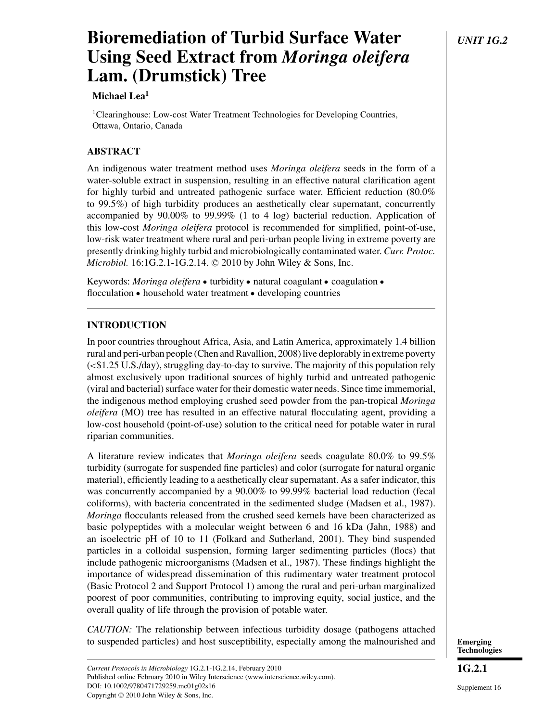# **Bioremediation of Turbid Surface Water**  $|$  *UNIT 1G.2* **Using Seed Extract from** *Moringa oleifera* **Lam. (Drumstick) Tree**

# **Michael Lea<sup>1</sup>**

<sup>1</sup>Clearinghouse: Low-cost Water Treatment Technologies for Developing Countries, Ottawa, Ontario, Canada

# **ABSTRACT**

An indigenous water treatment method uses *Moringa oleifera* seeds in the form of a water-soluble extract in suspension, resulting in an effective natural clarification agent for highly turbid and untreated pathogenic surface water. Efficient reduction (80.0% to 99.5%) of high turbidity produces an aesthetically clear supernatant, concurrently accompanied by 90.00% to 99.99% (1 to 4 log) bacterial reduction. Application of this low-cost *Moringa oleifera* protocol is recommended for simplified, point-of-use, low-risk water treatment where rural and peri-urban people living in extreme poverty are presently drinking highly turbid and microbiologically contaminated water. *Curr. Protoc. Microbiol.* 16:1G.2.1-1G.2.14. © 2010 by John Wiley & Sons, Inc.

Keywords: Moringa oleifera . turbidity . natural coagulant . coagulation . flocculation • household water treatment • developing countries

# **INTRODUCTION**

In poor countries throughout Africa, Asia, and Latin America, approximately 1.4 billion rural and peri-urban people (Chen and Ravallion, 2008) live deplorably in extreme poverty (<\$1.25 U.S./day), struggling day-to-day to survive. The majority of this population rely almost exclusively upon traditional sources of highly turbid and untreated pathogenic (viral and bacterial) surface water for their domestic water needs. Since time immemorial, the indigenous method employing crushed seed powder from the pan-tropical *Moringa oleifera* (MO) tree has resulted in an effective natural flocculating agent, providing a low-cost household (point-of-use) solution to the critical need for potable water in rural riparian communities.

A literature review indicates that *Moringa oleifera* seeds coagulate 80.0% to 99.5% turbidity (surrogate for suspended fine particles) and color (surrogate for natural organic material), efficiently leading to a aesthetically clear supernatant. As a safer indicator, this was concurrently accompanied by a 90.00% to 99.99% bacterial load reduction (fecal coliforms), with bacteria concentrated in the sedimented sludge (Madsen et al., 1987). *Moringa* flocculants released from the crushed seed kernels have been characterized as basic polypeptides with a molecular weight between 6 and 16 kDa (Jahn, 1988) and an isoelectric pH of 10 to 11 (Folkard and Sutherland, 2001). They bind suspended particles in a colloidal suspension, forming larger sedimenting particles (flocs) that include pathogenic microorganisms (Madsen et al., 1987). These findings highlight the importance of widespread dissemination of this rudimentary water treatment protocol (Basic Protocol 2 and Support Protocol 1) among the rural and peri-urban marginalized poorest of poor communities, contributing to improving equity, social justice, and the overall quality of life through the provision of potable water.

*CAUTION:* The relationship between infectious turbidity dosage (pathogens attached to suspended particles) and host susceptibility, especially among the malnourished and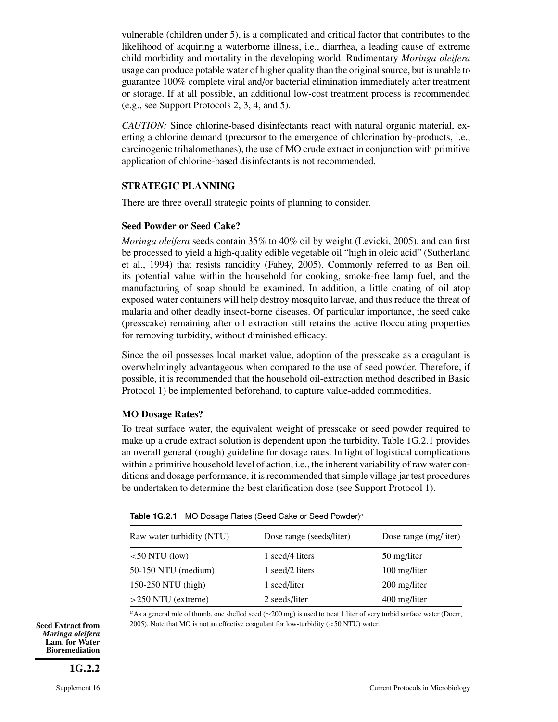vulnerable (children under 5), is a complicated and critical factor that contributes to the likelihood of acquiring a waterborne illness, i.e., diarrhea, a leading cause of extreme child morbidity and mortality in the developing world. Rudimentary *Moringa oleifera* usage can produce potable water of higher quality than the original source, but is unable to guarantee 100% complete viral and/or bacterial elimination immediately after treatment or storage. If at all possible, an additional low-cost treatment process is recommended (e.g., see Support Protocols 2, 3, 4, and 5).

*CAUTION:* Since chlorine-based disinfectants react with natural organic material, exerting a chlorine demand (precursor to the emergence of chlorination by-products, i.e., carcinogenic trihalomethanes), the use of MO crude extract in conjunction with primitive application of chlorine-based disinfectants is not recommended.

## **STRATEGIC PLANNING**

There are three overall strategic points of planning to consider.

## **Seed Powder or Seed Cake?**

*Moringa oleifera* seeds contain 35% to 40% oil by weight (Levicki, 2005), and can first be processed to yield a high-quality edible vegetable oil "high in oleic acid" (Sutherland et al., 1994) that resists rancidity (Fahey, 2005). Commonly referred to as Ben oil, its potential value within the household for cooking, smoke-free lamp fuel, and the manufacturing of soap should be examined. In addition, a little coating of oil atop exposed water containers will help destroy mosquito larvae, and thus reduce the threat of malaria and other deadly insect-borne diseases. Of particular importance, the seed cake (presscake) remaining after oil extraction still retains the active flocculating properties for removing turbidity, without diminished efficacy.

Since the oil possesses local market value, adoption of the presscake as a coagulant is overwhelmingly advantageous when compared to the use of seed powder. Therefore, if possible, it is recommended that the household oil-extraction method described in Basic Protocol 1) be implemented beforehand, to capture value-added commodities.

## **MO Dosage Rates?**

To treat surface water, the equivalent weight of presscake or seed powder required to make up a crude extract solution is dependent upon the turbidity. Table 1G.2.1 provides an overall general (rough) guideline for dosage rates. In light of logistical complications within a primitive household level of action, i.e., the inherent variability of raw water conditions and dosage performance, it is recommended that simple village jar test procedures be undertaken to determine the best clarification dose (see Support Protocol 1).

#### **Table 1G.2.1** MO Dosage Rates (Seed Cake or Seed Powder)*<sup>a</sup>*

| Raw water turbidity (NTU) | Dose range (seeds/liter) | Dose range (mg/liter) |
|---------------------------|--------------------------|-----------------------|
| $<$ 50 NTU (low)          | 1 seed/4 liters          | 50 mg/liter           |
| $50-150$ NTU (medium)     | 1 seed/2 liters          | 100 mg/liter          |
| 150-250 NTU (high)        | 1 seed/liter             | 200 mg/liter          |
| $>250$ NTU (extreme)      | 2 seeds/liter            | 400 mg/liter          |

*<sup>a</sup>*As a general rule of thumb, one shelled seed (∼200 mg) is used to treat 1 liter of very turbid surface water (Doerr, 2005). Note that MO is not an effective coagulant for low-turbidity  $( $50$  NTU) water.$ 

**Seed Extract from** *Moringa oleifera* **Lam. for Water Bioremediation**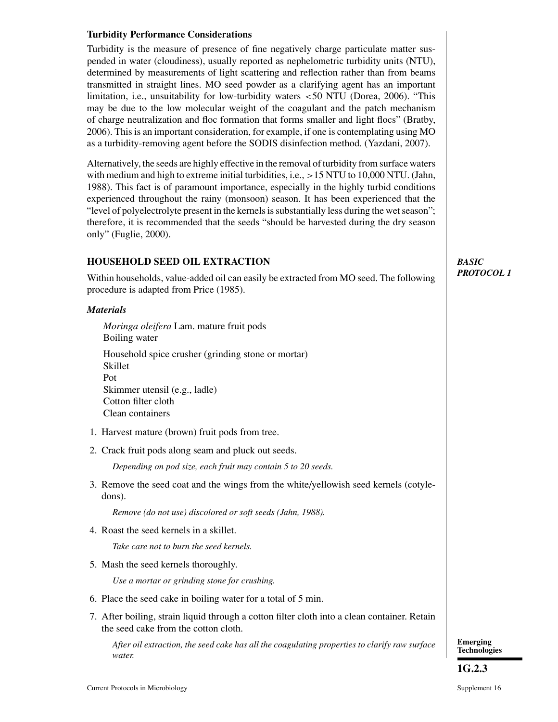## **Turbidity Performance Considerations**

Turbidity is the measure of presence of fine negatively charge particulate matter suspended in water (cloudiness), usually reported as nephelometric turbidity units (NTU), determined by measurements of light scattering and reflection rather than from beams transmitted in straight lines. MO seed powder as a clarifying agent has an important limitation, i.e., unsuitability for low-turbidity waters <50 NTU (Dorea, 2006). "This may be due to the low molecular weight of the coagulant and the patch mechanism of charge neutralization and floc formation that forms smaller and light flocs" (Bratby, 2006). This is an important consideration, for example, if one is contemplating using MO as a turbidity-removing agent before the SODIS disinfection method. (Yazdani, 2007).

Alternatively, the seeds are highly effective in the removal of turbidity from surface waters with medium and high to extreme initial turbidities, i.e.,  $>15$  NTU to 10,000 NTU. (Jahn, 1988). This fact is of paramount importance, especially in the highly turbid conditions experienced throughout the rainy (monsoon) season. It has been experienced that the "level of polyelectrolyte present in the kernels is substantially less during the wet season"; therefore, it is recommended that the seeds "should be harvested during the dry season only" (Fuglie, 2000).

## **HOUSEHOLD SEED OIL EXTRACTION**

Within households, value-added oil can easily be extracted from MO seed. The following procedure is adapted from Price (1985).

## *Materials*

*Moringa oleifera* Lam. mature fruit pods Boiling water Household spice crusher (grinding stone or mortar) Skillet Pot Skimmer utensil (e.g., ladle) Cotton filter cloth Clean containers

- 1. Harvest mature (brown) fruit pods from tree.
- 2. Crack fruit pods along seam and pluck out seeds.

*Depending on pod size, each fruit may contain 5 to 20 seeds.*

3. Remove the seed coat and the wings from the white/yellowish seed kernels (cotyledons).

*Remove (do not use) discolored or soft seeds (Jahn, 1988).*

4. Roast the seed kernels in a skillet.

*Take care not to burn the seed kernels.*

5. Mash the seed kernels thoroughly.

*Use a mortar or grinding stone for crushing.*

- 6. Place the seed cake in boiling water for a total of 5 min.
- 7. After boiling, strain liquid through a cotton filter cloth into a clean container. Retain the seed cake from the cotton cloth.

*After oil extraction, the seed cake has all the coagulating properties to clarify raw surface water.*

*BASIC PROTOCOL 1*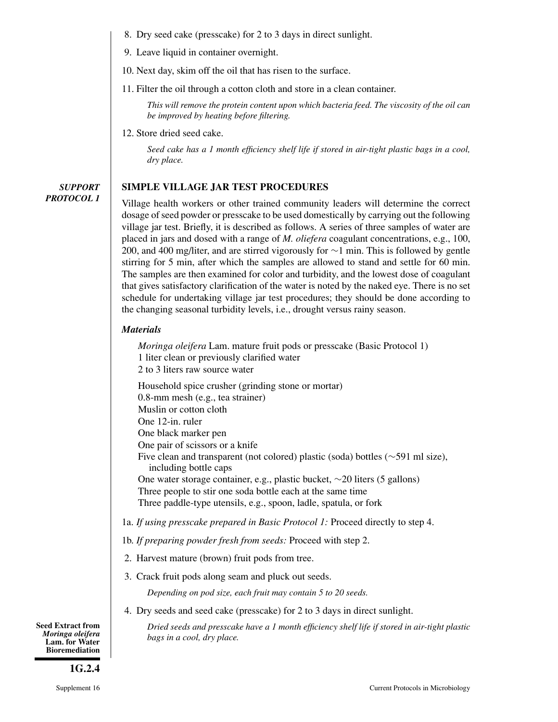- 8. Dry seed cake (presscake) for 2 to 3 days in direct sunlight.
- 9. Leave liquid in container overnight.
- 10. Next day, skim off the oil that has risen to the surface.
- 11. Filter the oil through a cotton cloth and store in a clean container.

*This will remove the protein content upon which bacteria feed. The viscosity of the oil can be improved by heating before filtering.*

12. Store dried seed cake.

*Seed cake has a 1 month efficiency shelf life if stored in air-tight plastic bags in a cool, dry place.*

## **SIMPLE VILLAGE JAR TEST PROCEDURES**

Village health workers or other trained community leaders will determine the correct dosage of seed powder or presscake to be used domestically by carrying out the following village jar test. Briefly, it is described as follows. A series of three samples of water are placed in jars and dosed with a range of *M. oliefera* coagulant concentrations, e.g., 100, 200, and 400 mg/liter, and are stirred vigorously for  $\sim$ 1 min. This is followed by gentle stirring for 5 min, after which the samples are allowed to stand and settle for 60 min. The samples are then examined for color and turbidity, and the lowest dose of coagulant that gives satisfactory clarification of the water is noted by the naked eye. There is no set schedule for undertaking village jar test procedures; they should be done according to the changing seasonal turbidity levels, i.e., drought versus rainy season.

## *Materials*

*SUPPORT PROTOCOL 1*

> *Moringa oleifera* Lam. mature fruit pods or presscake (Basic Protocol 1) 1 liter clean or previously clarified water 2 to 3 liters raw source water

Household spice crusher (grinding stone or mortar) 0.8-mm mesh (e.g., tea strainer) Muslin or cotton cloth One 12-in. ruler One black marker pen One pair of scissors or a knife Five clean and transparent (not colored) plastic (soda) bottles (∼591 ml size), including bottle caps One water storage container, e.g., plastic bucket, ∼20 liters (5 gallons) Three people to stir one soda bottle each at the same time Three paddle-type utensils, e.g., spoon, ladle, spatula, or fork

- 1a. *If using presscake prepared in Basic Protocol 1:* Proceed directly to step 4.
- 1b. *If preparing powder fresh from seeds:* Proceed with step 2.
- 2. Harvest mature (brown) fruit pods from tree.
- 3. Crack fruit pods along seam and pluck out seeds.

*Depending on pod size, each fruit may contain 5 to 20 seeds.*

4. Dry seeds and seed cake (presscake) for 2 to 3 days in direct sunlight.

*Dried seeds and presscake have a 1 month efficiency shelf life if stored in air-tight plastic bags in a cool, dry place.*

**Seed Extract from** *Moringa oleifera* **Lam. for Water Bioremediation**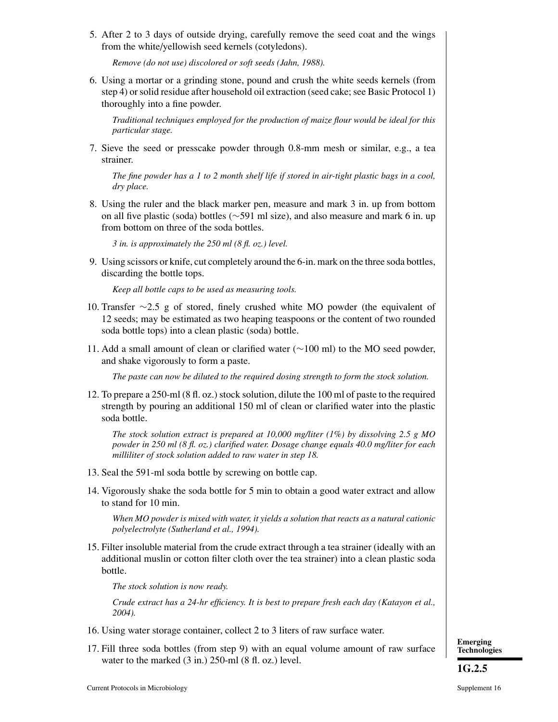5. After 2 to 3 days of outside drying, carefully remove the seed coat and the wings from the white/yellowish seed kernels (cotyledons).

*Remove (do not use) discolored or soft seeds (Jahn, 1988).*

6. Using a mortar or a grinding stone, pound and crush the white seeds kernels (from step 4) or solid residue after household oil extraction (seed cake; see Basic Protocol 1) thoroughly into a fine powder.

*Traditional techniques employed for the production of maize flour would be ideal for this particular stage.*

7. Sieve the seed or presscake powder through 0.8-mm mesh or similar, e.g., a tea strainer.

*The fine powder has a 1 to 2 month shelf life if stored in air-tight plastic bags in a cool, dry place.*

8. Using the ruler and the black marker pen, measure and mark 3 in. up from bottom on all five plastic (soda) bottles (∼591 ml size), and also measure and mark 6 in. up from bottom on three of the soda bottles.

*3 in. is approximately the 250 ml (8 fl. oz.) level.*

9. Using scissors or knife, cut completely around the 6-in. mark on the three soda bottles, discarding the bottle tops.

*Keep all bottle caps to be used as measuring tools.*

- 10. Transfer ∼2.5 g of stored, finely crushed white MO powder (the equivalent of 12 seeds; may be estimated as two heaping teaspoons or the content of two rounded soda bottle tops) into a clean plastic (soda) bottle.
- 11. Add a small amount of clean or clarified water (∼100 ml) to the MO seed powder, and shake vigorously to form a paste.

*The paste can now be diluted to the required dosing strength to form the stock solution.*

12. To prepare a 250-ml (8 fl. oz.) stock solution, dilute the 100 ml of paste to the required strength by pouring an additional 150 ml of clean or clarified water into the plastic soda bottle.

*The stock solution extract is prepared at 10,000 mg/liter (1%) by dissolving 2.5 g MO powder in 250 ml (8 fl. oz.) clarified water. Dosage change equals 40.0 mg/liter for each milliliter of stock solution added to raw water in step 18.*

- 13. Seal the 591-ml soda bottle by screwing on bottle cap.
- 14. Vigorously shake the soda bottle for 5 min to obtain a good water extract and allow to stand for 10 min.

*When MO powder is mixed with water, it yields a solution that reacts as a natural cationic polyelectrolyte (Sutherland et al., 1994).*

15. Filter insoluble material from the crude extract through a tea strainer (ideally with an additional muslin or cotton filter cloth over the tea strainer) into a clean plastic soda bottle.

*The stock solution is now ready.*

*Crude extract has a 24-hr efficiency. It is best to prepare fresh each day (Katayon et al., 2004).*

- 16. Using water storage container, collect 2 to 3 liters of raw surface water.
- 17. Fill three soda bottles (from step 9) with an equal volume amount of raw surface water to the marked (3 in.) 250-ml (8 fl. oz.) level.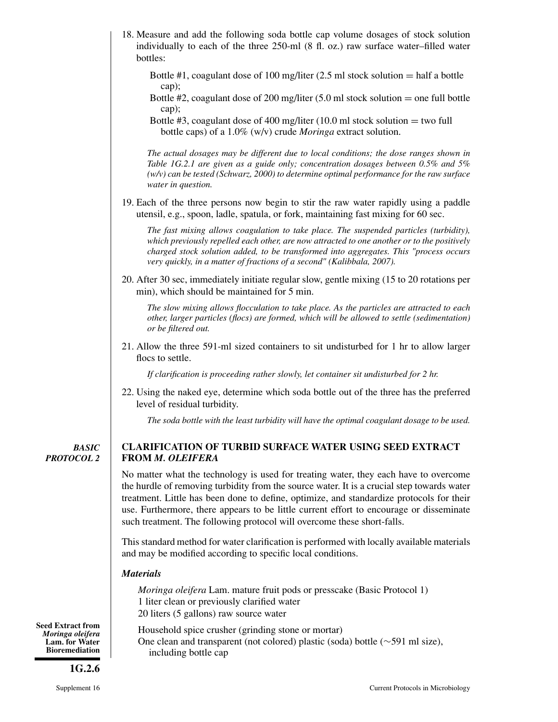| 18. Measure and add the following soda bottle cap volume dosages of stock solution<br>individually to each of the three 250-ml (8 fl. oz.) raw surface water-filled water<br>bottles:                                                                                                                                                                                                                                                                |
|------------------------------------------------------------------------------------------------------------------------------------------------------------------------------------------------------------------------------------------------------------------------------------------------------------------------------------------------------------------------------------------------------------------------------------------------------|
| Bottle #1, coagulant dose of 100 mg/liter $(2.5 \text{ ml stock solution} = \text{half a bottle})$<br>cap);                                                                                                                                                                                                                                                                                                                                          |
| Bottle #2, coagulant dose of 200 mg/liter $(5.0 \text{ ml stock solution} = \text{one full bottle})$<br>cap);                                                                                                                                                                                                                                                                                                                                        |
| Bottle #3, coagulant dose of 400 mg/liter (10.0 ml stock solution $=$ two full<br>bottle caps) of a $1.0\%$ (w/v) crude <i>Moringa</i> extract solution.                                                                                                                                                                                                                                                                                             |
| The actual dosages may be different due to local conditions; the dose ranges shown in<br>Table 1G.2.1 are given as a guide only; concentration dosages between 0.5% and 5%<br>$(w/v)$ can be tested (Schwarz, 2000) to determine optimal performance for the raw surface<br>water in question.                                                                                                                                                       |
| 19. Each of the three persons now begin to stir the raw water rapidly using a paddle<br>utensil, e.g., spoon, ladle, spatula, or fork, maintaining fast mixing for 60 sec.                                                                                                                                                                                                                                                                           |
| The fast mixing allows coagulation to take place. The suspended particles (turbidity),<br>which previously repelled each other, are now attracted to one another or to the positively<br>charged stock solution added, to be transformed into aggregates. This "process occurs<br>very quickly, in a matter of fractions of a second" (Kalibbala, 2007).                                                                                             |
| 20. After 30 sec, immediately initiate regular slow, gentle mixing (15 to 20 rotations per<br>min), which should be maintained for 5 min.                                                                                                                                                                                                                                                                                                            |
| The slow mixing allows flocculation to take place. As the particles are attracted to each<br>other, larger particles (flocs) are formed, which will be allowed to settle (sedimentation)<br>or be filtered out.                                                                                                                                                                                                                                      |
| 21. Allow the three 591-ml sized containers to sit undisturbed for 1 hr to allow larger<br>flocs to settle.                                                                                                                                                                                                                                                                                                                                          |
| If clarification is proceeding rather slowly, let container sit undisturbed for 2 hr.                                                                                                                                                                                                                                                                                                                                                                |
| 22. Using the naked eye, determine which soda bottle out of the three has the preferred<br>level of residual turbidity.                                                                                                                                                                                                                                                                                                                              |
| The soda bottle with the least turbidity will have the optimal coagulant dosage to be used.                                                                                                                                                                                                                                                                                                                                                          |
| <b>CLARIFICATION OF TURBID SURFACE WATER USING SEED EXTRACT</b><br><b>FROM M. OLEIFERA</b>                                                                                                                                                                                                                                                                                                                                                           |
| No matter what the technology is used for treating water, they each have to overcome<br>the hurdle of removing turbidity from the source water. It is a crucial step towards water<br>treatment. Little has been done to define, optimize, and standardize protocols for their<br>use. Furthermore, there appears to be little current effort to encourage or disseminate<br>such treatment. The following protocol will overcome these short-falls. |
| This standard method for water clarification is performed with locally available materials<br>and may be modified according to specific local conditions.                                                                                                                                                                                                                                                                                            |
| <b>Materials</b>                                                                                                                                                                                                                                                                                                                                                                                                                                     |
| Moringa oleifera Lam. mature fruit pods or presscake (Basic Protocol 1)<br>1 liter clean or previously clarified water<br>20 liters (5 gallons) raw source water                                                                                                                                                                                                                                                                                     |
| Household spice crusher (grinding stone or mortar)<br>One clean and transparent (not colored) plastic (soda) bottle $(\sim 591 \text{ ml size})$ ,<br>including bottle cap                                                                                                                                                                                                                                                                           |

*BASIC PROTOCOL 2*

**Seed Extract from** *Moringa oleifera* **Lam. for Water Bioremediation**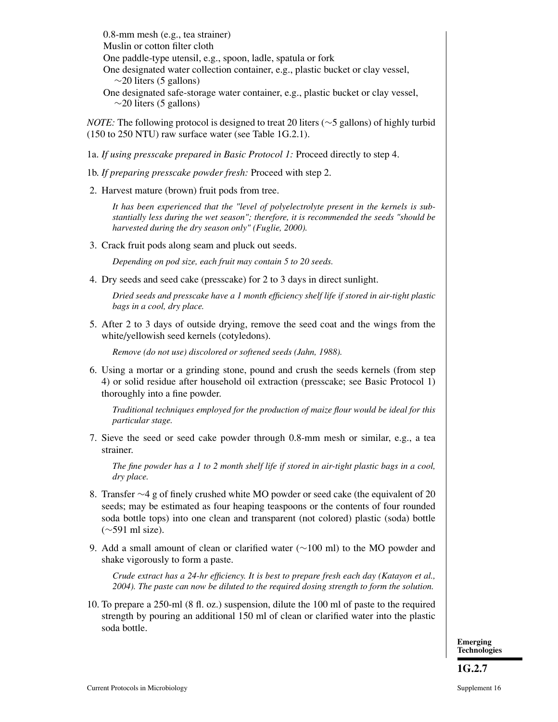0.8-mm mesh (e.g., tea strainer) Muslin or cotton filter cloth One paddle-type utensil, e.g., spoon, ladle, spatula or fork One designated water collection container, e.g., plastic bucket or clay vessel,  $\sim$ 20 liters (5 gallons) One designated safe-storage water container, e.g., plastic bucket or clay vessel,  $\sim$ 20 liters (5 gallons)

*NOTE:* The following protocol is designed to treat 20 liters (∼5 gallons) of highly turbid (150 to 250 NTU) raw surface water (see Table 1G.2.1).

- 1a. *If using presscake prepared in Basic Protocol 1:* Proceed directly to step 4.
- 1b. *If preparing presscake powder fresh:* Proceed with step 2.
- 2. Harvest mature (brown) fruit pods from tree.

*It has been experienced that the "level of polyelectrolyte present in the kernels is substantially less during the wet season"; therefore, it is recommended the seeds "should be harvested during the dry season only" (Fuglie, 2000).*

3. Crack fruit pods along seam and pluck out seeds.

*Depending on pod size, each fruit may contain 5 to 20 seeds.*

4. Dry seeds and seed cake (presscake) for 2 to 3 days in direct sunlight.

*Dried seeds and presscake have a 1 month efficiency shelf life if stored in air-tight plastic bags in a cool, dry place.*

5. After 2 to 3 days of outside drying, remove the seed coat and the wings from the white/yellowish seed kernels (cotyledons).

*Remove (do not use) discolored or softened seeds (Jahn, 1988).*

6. Using a mortar or a grinding stone, pound and crush the seeds kernels (from step 4) or solid residue after household oil extraction (presscake; see Basic Protocol 1) thoroughly into a fine powder.

*Traditional techniques employed for the production of maize flour would be ideal for this particular stage.*

7. Sieve the seed or seed cake powder through 0.8-mm mesh or similar, e.g., a tea strainer.

*The fine powder has a 1 to 2 month shelf life if stored in air-tight plastic bags in a cool, dry place.*

- 8. Transfer ∼4 g of finely crushed white MO powder or seed cake (the equivalent of 20 seeds; may be estimated as four heaping teaspoons or the contents of four rounded soda bottle tops) into one clean and transparent (not colored) plastic (soda) bottle (∼591 ml size).
- 9. Add a small amount of clean or clarified water (∼100 ml) to the MO powder and shake vigorously to form a paste.

*Crude extract has a 24-hr efficiency. It is best to prepare fresh each day (Katayon et al., 2004). The paste can now be diluted to the required dosing strength to form the solution.*

10. To prepare a 250-ml (8 fl. oz.) suspension, dilute the 100 ml of paste to the required strength by pouring an additional 150 ml of clean or clarified water into the plastic soda bottle.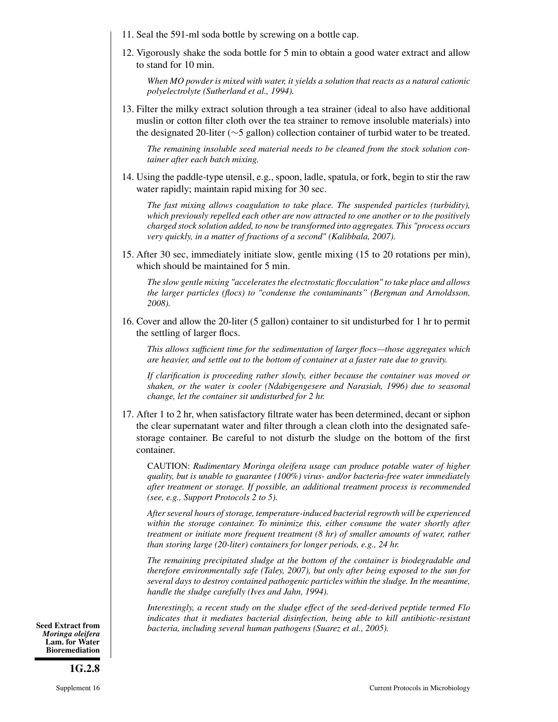- 11. Seal the 591-ml soda bottle by screwing on a bottle cap.
- 12. Vigorously shake the soda bottle for 5 min to obtain a good water extract and allow to stand for 10 min.

*When MO powder is mixed with water, it yields a solution that reacts as a natural cationic polyelectrolyte (Sutherland et al., 1994).*

13. Filter the milky extract solution through a tea strainer (ideal to also have additional muslin or cotton filter cloth over the tea strainer to remove insoluble materials) into the designated 20-liter (∼5 gallon) collection container of turbid water to be treated.

*The remaining insoluble seed material needs to be cleaned from the stock solution container after each batch mixing.*

14. Using the paddle-type utensil, e.g., spoon, ladle, spatula, or fork, begin to stir the raw water rapidly; maintain rapid mixing for 30 sec.

*The fast mixing allows coagulation to take place. The suspended particles (turbidity), which previously repelled each other are now attracted to one another or to the positively charged stock solution added, to now be transformed into aggregates. This "process occurs very quickly, in a matter of fractions of a second" (Kalibbala, 2007).*

15. After 30 sec, immediately initiate slow, gentle mixing (15 to 20 rotations per min), which should be maintained for 5 min.

*The slow gentle mixing "accelerates the electrostatic flocculation" to take place and allows the larger particles (flocs) to "condense the contaminants" (Bergman and Arnoldsson, 2008).*

16. Cover and allow the 20-liter (5 gallon) container to sit undisturbed for 1 hr to permit the settling of larger flocs.

*This allows sufficient time for the sedimentation of larger flocs—those aggregates which are heavier, and settle out to the bottom of container at a faster rate due to gravity.*

*If clarification is proceeding rather slowly, either because the container was moved or shaken, or the water is cooler (Ndabigengesere and Narasiah, 1996) due to seasonal change, let the container sit undisturbed for 2 hr.*

17. After 1 to 2 hr, when satisfactory filtrate water has been determined, decant or siphon the clear supernatant water and filter through a clean cloth into the designated safestorage container. Be careful to not disturb the sludge on the bottom of the first container.

CAUTION: *Rudimentary Moringa oleifera usage can produce potable water of higher quality, but is unable to guarantee (100%) virus- and/or bacteria-free water immediately after treatment or storage. If possible, an additional treatment process is recommended (see, e.g., Support Protocols 2 to 5).*

*After several hours of storage, temperature-induced bacterial regrowth will be experienced within the storage container. To minimize this, either consume the water shortly after treatment or initiate more frequent treatment (8 hr) of smaller amounts of water, rather than storing large (20-liter) containers for longer periods, e.g., 24 hr.*

*The remaining precipitated sludge at the bottom of the container is biodegradable and therefore environmentally safe (Taley, 2007), but only after being exposed to the sun for several days to destroy contained pathogenic particles within the sludge. In the meantime, handle the sludge carefully (Ives and Jahn, 1994).*

*Interestingly, a recent study on the sludge effect of the seed-derived peptide termed Flo indicates that it mediates bacterial disinfection, being able to kill antibiotic-resistant bacteria, including several human pathogens (Suarez et al., 2005).*

**Seed Extract from** *Moringa oleifera* **Lam. for Water Bioremediation**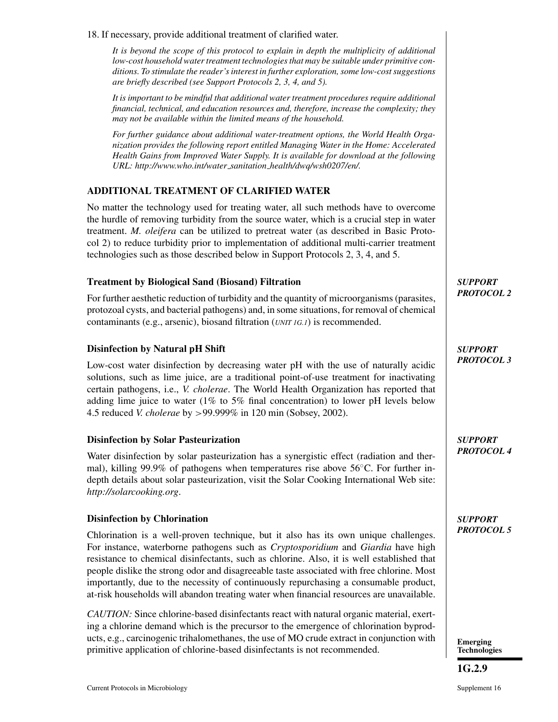18. If necessary, provide additional treatment of clarified water.

*It is beyond the scope of this protocol to explain in depth the multiplicity of additional low-cost household water treatment technologies that may be suitable under primitive conditions. To stimulate the reader's interest in further exploration, some low-cost suggestions are briefly described (see Support Protocols 2, 3, 4, and 5).*

*It is important to be mindful that additional water treatment procedures require additional financial, technical, and education resources and, therefore, increase the complexity; they may not be available within the limited means of the household.*

*For further guidance about additional water-treatment options, the World Health Organization provides the following report entitled Managing Water in the Home: Accelerated Health Gains from Improved Water Supply. It is available for download at the following URL: http://www.who.int/water sanitation health/dwq/wsh0207/en/.*

# **ADDITIONAL TREATMENT OF CLARIFIED WATER**

No matter the technology used for treating water, all such methods have to overcome the hurdle of removing turbidity from the source water, which is a crucial step in water treatment. *M. oleifera* can be utilized to pretreat water (as described in Basic Protocol 2) to reduce turbidity prior to implementation of additional multi-carrier treatment technologies such as those described below in Support Protocols 2, 3, 4, and 5.

## **Treatment by Biological Sand (Biosand) Filtration**

For further aesthetic reduction of turbidity and the quantity of microorganisms (parasites, protozoal cysts, and bacterial pathogens) and, in some situations, for removal of chemical contaminants (e.g., arsenic), biosand filtration (*UNIT 1G.1*) is recommended.

## **Disinfection by Natural pH Shift**

Low-cost water disinfection by decreasing water pH with the use of naturally acidic solutions, such as lime juice, are a traditional point-of-use treatment for inactivating certain pathogens, i.e., *V. cholerae*. The World Health Organization has reported that adding lime juice to water (1% to 5% final concentration) to lower pH levels below 4.5 reduced *V. cholerae* by >99.999% in 120 min (Sobsey, 2002).

## **Disinfection by Solar Pasteurization**

Water disinfection by solar pasteurization has a synergistic effect (radiation and thermal), killing 99.9% of pathogens when temperatures rise above 56<sup>°</sup>C. For further indepth details about solar pasteurization, visit the Solar Cooking International Web site: *http://solarcooking.org*.

## **Disinfection by Chlorination**

Chlorination is a well-proven technique, but it also has its own unique challenges. For instance, waterborne pathogens such as *Cryptosporidium* and *Giardia* have high resistance to chemical disinfectants, such as chlorine. Also, it is well established that people dislike the strong odor and disagreeable taste associated with free chlorine. Most importantly, due to the necessity of continuously repurchasing a consumable product, at-risk households will abandon treating water when financial resources are unavailable.

*CAUTION:* Since chlorine-based disinfectants react with natural organic material, exerting a chlorine demand which is the precursor to the emergence of chlorination byproducts, e.g., carcinogenic trihalomethanes, the use of MO crude extract in conjunction with primitive application of chlorine-based disinfectants is not recommended.

## *SUPPORT PROTOCOL 2*

## *SUPPORT PROTOCOL 3*

*SUPPORT PROTOCOL 4*

#### *SUPPORT PROTOCOL 5*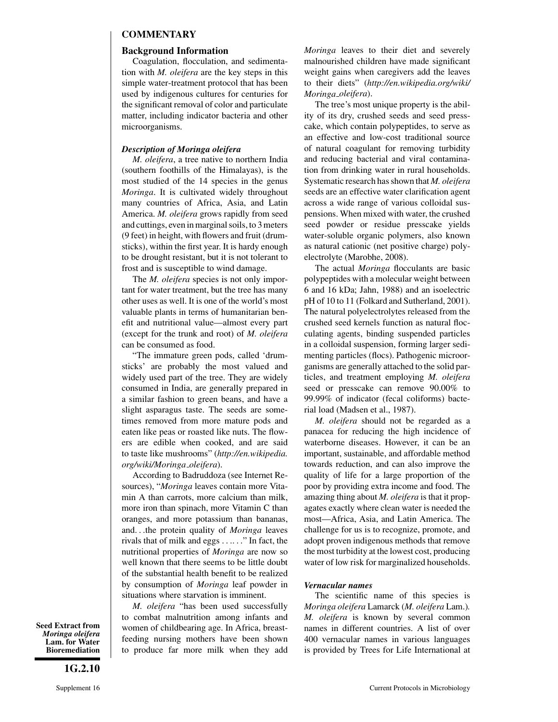#### **COMMENTARY**

#### **Background Information**

Coagulation, flocculation, and sedimentation with *M. oleifera* are the key steps in this simple water-treatment protocol that has been used by indigenous cultures for centuries for the significant removal of color and particulate matter, including indicator bacteria and other microorganisms.

#### *Description of Moringa oleifera*

*M. oleifera*, a tree native to northern India (southern foothills of the Himalayas), is the most studied of the 14 species in the genus *Moringa*. It is cultivated widely throughout many countries of Africa, Asia, and Latin America. *M. oleifera* grows rapidly from seed and cuttings, even in marginal soils, to 3 meters (9 feet) in height, with flowers and fruit (drumsticks), within the first year. It is hardy enough to be drought resistant, but it is not tolerant to frost and is susceptible to wind damage.

The *M. oleifera* species is not only important for water treatment, but the tree has many other uses as well. It is one of the world's most valuable plants in terms of humanitarian benefit and nutritional value—almost every part (except for the trunk and root) of *M. oleifera* can be consumed as food.

"The immature green pods, called 'drumsticks' are probably the most valued and widely used part of the tree. They are widely consumed in India, are generally prepared in a similar fashion to green beans, and have a slight asparagus taste. The seeds are sometimes removed from more mature pods and eaten like peas or roasted like nuts. The flowers are edible when cooked, and are said to taste like mushrooms" (*http://en.wikipedia. org/wiki/Moringa oleifera*).

According to Badruddoza (see Internet Resources), "*Moringa* leaves contain more Vitamin A than carrots, more calcium than milk, more iron than spinach, more Vitamin C than oranges, and more potassium than bananas, and...the protein quality of *Moringa* leaves rivals that of milk and eggs . . .. . ." In fact, the nutritional properties of *Moringa* are now so well known that there seems to be little doubt of the substantial health benefit to be realized by consumption of *Moringa* leaf powder in situations where starvation is imminent.

*M. oleifera* "has been used successfully to combat malnutrition among infants and women of childbearing age. In Africa, breastfeeding nursing mothers have been shown to produce far more milk when they add *Moringa* leaves to their diet and severely malnourished children have made significant weight gains when caregivers add the leaves to their diets" (*http://en.wikipedia.org/wiki/ Moringa oleifera*).

The tree's most unique property is the ability of its dry, crushed seeds and seed presscake, which contain polypeptides, to serve as an effective and low-cost traditional source of natural coagulant for removing turbidity and reducing bacterial and viral contamination from drinking water in rural households. Systematic research has shown that *M. oleifera* seeds are an effective water clarification agent across a wide range of various colloidal suspensions. When mixed with water, the crushed seed powder or residue presscake yields water-soluble organic polymers, also known as natural cationic (net positive charge) polyelectrolyte (Marobhe, 2008).

The actual *Moringa* flocculants are basic polypeptides with a molecular weight between 6 and 16 kDa; Jahn, 1988) and an isoelectric pH of 10 to 11 (Folkard and Sutherland, 2001). The natural polyelectrolytes released from the crushed seed kernels function as natural flocculating agents, binding suspended particles in a colloidal suspension, forming larger sedimenting particles (flocs). Pathogenic microorganisms are generally attached to the solid particles, and treatment employing *M. oleifera* seed or presscake can remove 90.00% to 99.99% of indicator (fecal coliforms) bacterial load (Madsen et al., 1987).

*M. oleifera* should not be regarded as a panacea for reducing the high incidence of waterborne diseases. However, it can be an important, sustainable, and affordable method towards reduction, and can also improve the quality of life for a large proportion of the poor by providing extra income and food. The amazing thing about *M. oleifera* is that it propagates exactly where clean water is needed the most—Africa, Asia, and Latin America. The challenge for us is to recognize, promote, and adopt proven indigenous methods that remove the most turbidity at the lowest cost, producing water of low risk for marginalized households.

#### *Vernacular names*

The scientific name of this species is *Moringa oleifera* Lamarck (*M. oleifera* Lam.)*. M. oleifera* is known by several common names in different countries. A list of over 400 vernacular names in various languages is provided by Trees for Life International at

**Seed Extract from** *Moringa oleifera* **Lam. for Water Bioremediation**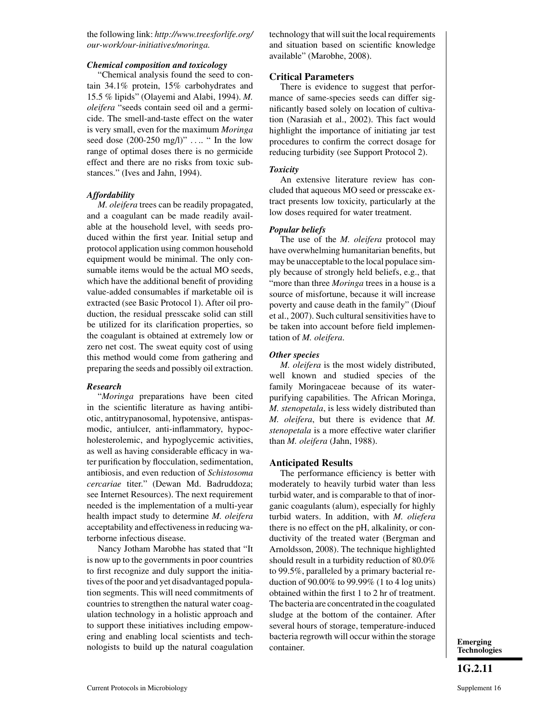the following link: *http://www.treesforlife.org/ our-work/our-initiatives/moringa.*

#### *Chemical composition and toxicology*

"Chemical analysis found the seed to contain 34.1% protein, 15% carbohydrates and 15.5 % lipids" (Olayemi and Alabi, 1994). *M. oleifera* "seeds contain seed oil and a germicide. The smell-and-taste effect on the water is very small, even for the maximum *Moringa* seed dose (200-250 mg/l)" .... " In the low range of optimal doses there is no germicide effect and there are no risks from toxic substances." (Ives and Jahn, 1994).

#### *Affordability*

*M. oleifera* trees can be readily propagated, and a coagulant can be made readily available at the household level, with seeds produced within the first year. Initial setup and protocol application using common household equipment would be minimal. The only consumable items would be the actual MO seeds, which have the additional benefit of providing value-added consumables if marketable oil is extracted (see Basic Protocol 1). After oil production, the residual presscake solid can still be utilized for its clarification properties, so the coagulant is obtained at extremely low or zero net cost. The sweat equity cost of using this method would come from gathering and preparing the seeds and possibly oil extraction.

#### *Research*

"*Moringa* preparations have been cited in the scientific literature as having antibiotic, antitrypanosomal, hypotensive, antispasmodic, antiulcer, anti-inflammatory, hypocholesterolemic, and hypoglycemic activities, as well as having considerable efficacy in water purification by flocculation, sedimentation, antibiosis, and even reduction of *Schistosoma cercariae* titer." (Dewan Md. Badruddoza; see Internet Resources). The next requirement needed is the implementation of a multi-year health impact study to determine *M. oleifera* acceptability and effectiveness in reducing waterborne infectious disease.

Nancy Jotham Marobhe has stated that "It is now up to the governments in poor countries to first recognize and duly support the initiatives of the poor and yet disadvantaged population segments. This will need commitments of countries to strengthen the natural water coagulation technology in a holistic approach and to support these initiatives including empowering and enabling local scientists and technologists to build up the natural coagulation

technology that will suit the local requirements and situation based on scientific knowledge available" (Marobhe, 2008).

## **Critical Parameters**

There is evidence to suggest that performance of same-species seeds can differ significantly based solely on location of cultivation (Narasiah et al., 2002). This fact would highlight the importance of initiating jar test procedures to confirm the correct dosage for reducing turbidity (see Support Protocol 2).

#### *Toxicity*

An extensive literature review has concluded that aqueous MO seed or presscake extract presents low toxicity, particularly at the low doses required for water treatment.

#### *Popular beliefs*

The use of the *M. oleifera* protocol may have overwhelming humanitarian benefits, but may be unacceptable to the local populace simply because of strongly held beliefs, e.g., that "more than three *Moringa* trees in a house is a source of misfortune, because it will increase poverty and cause death in the family" (Diouf et al., 2007). Such cultural sensitivities have to be taken into account before field implementation of *M. oleifera*.

## *Other species*

*M. oleifera* is the most widely distributed, well known and studied species of the family Moringaceae because of its waterpurifying capabilities. The African Moringa, *M. stenopetala*, is less widely distributed than *M. oleifera*, but there is evidence that *M. stenopetala* is a more effective water clarifier than *M. oleifera* (Jahn, 1988).

#### **Anticipated Results**

The performance efficiency is better with moderately to heavily turbid water than less turbid water, and is comparable to that of inorganic coagulants (alum), especially for highly turbid waters. In addition, with *M. oliefera* there is no effect on the pH, alkalinity, or conductivity of the treated water (Bergman and Arnoldsson, 2008). The technique highlighted should result in a turbidity reduction of 80.0% to 99.5%, paralleled by a primary bacterial reduction of 90.00% to 99.99% (1 to 4 log units) obtained within the first 1 to 2 hr of treatment. The bacteria are concentrated in the coagulated sludge at the bottom of the container. After several hours of storage, temperature-induced bacteria regrowth will occur within the storage container.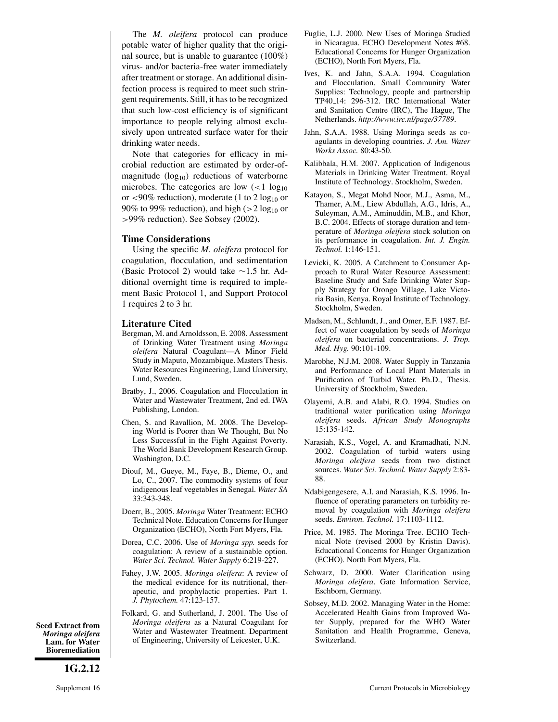The *M. oleifera* protocol can produce potable water of higher quality that the original source, but is unable to guarantee (100%) virus- and/or bacteria-free water immediately after treatment or storage. An additional disinfection process is required to meet such stringent requirements. Still, it has to be recognized that such low-cost efficiency is of significant importance to people relying almost exclusively upon untreated surface water for their drinking water needs.

Note that categories for efficacy in microbial reduction are estimated by order-ofmagnitude  $(log_{10})$  reductions of waterborne microbes. The categories are low  $\left($ <1 log<sub>10</sub> or  $\langle 90\%$  reduction), moderate (1 to 2 log<sub>10</sub> or 90% to 99% reduction), and high ( $>2 \log_{10}$  or >99% reduction). See Sobsey (2002).

#### **Time Considerations**

Using the specific *M. oleifera* protocol for coagulation, flocculation, and sedimentation (Basic Protocol 2) would take ∼1.5 hr. Additional overnight time is required to implement Basic Protocol 1, and Support Protocol 1 requires 2 to 3 hr.

#### **Literature Cited**

- Bergman, M. and Arnoldsson, E. 2008. Assessment of Drinking Water Treatment using *Moringa oleifera* Natural Coagulant—A Minor Field Study in Maputo, Mozambique. Masters Thesis. Water Resources Engineering, Lund University, Lund, Sweden.
- Bratby, J., 2006. Coagulation and Flocculation in Water and Wastewater Treatment, 2nd ed. IWA Publishing, London.
- Chen, S. and Ravallion, M. 2008. The Developing World is Poorer than We Thought, But No Less Successful in the Fight Against Poverty. The World Bank Development Research Group. Washington, D.C.
- Diouf, M., Gueye, M., Faye, B., Dieme, O., and Lo, C., 2007. The commodity systems of four indigenous leaf vegetables in Senegal. *Water SA* 33:343-348.
- Doerr, B., 2005. *Moringa* Water Treatment: ECHO Technical Note. Education Concerns for Hunger Organization (ECHO), North Fort Myers, Fla.
- Dorea, C.C. 2006. Use of *Moringa spp.* seeds for coagulation: A review of a sustainable option. *Water Sci. Technol. Water Supply* 6:219-227.
- Fahey, J.W. 2005. *Moringa oleifera*: A review of the medical evidence for its nutritional, therapeutic, and prophylactic properties. Part 1. *J. Phytochem.* 47:123-157.
- Folkard, G. and Sutherland, J. 2001. The Use of *Moringa oleifera* as a Natural Coagulant for Water and Wastewater Treatment. Department of Engineering, University of Leicester, U.K.
- Fuglie, L.J. 2000. New Uses of Moringa Studied in Nicaragua. ECHO Development Notes #68. Educational Concerns for Hunger Organization (ECHO), North Fort Myers, Fla.
- Ives, K. and Jahn, S.A.A. 1994. Coagulation and Flocculation. Small Community Water Supplies: Technology, people and partnership TP40 14: 296-312. IRC International Water and Sanitation Centre (IRC), The Hague, The Netherlands. *http://www.irc.nl/page/37789*.
- Jahn, S.A.A. 1988. Using Moringa seeds as coagulants in developing countries. *J. Am. Water Works Assoc.* 80:43-50.
- Kalibbala, H.M. 2007. Application of Indigenous Materials in Drinking Water Treatment. Royal Institute of Technology. Stockholm, Sweden.
- Katayon, S., Megat Mohd Noor, M.J., Asma, M., Thamer, A.M., Liew Abdullah, A.G., Idris, A., Suleyman, A.M., Aminuddin, M.B., and Khor, B.C. 2004. Effects of storage duration and temperature of *Moringa oleifera* stock solution on its performance in coagulation. *Int. J. Engin. Technol.* 1:146-151.
- Levicki, K. 2005. A Catchment to Consumer Approach to Rural Water Resource Assessment: Baseline Study and Safe Drinking Water Supply Strategy for Orongo Village, Lake Victoria Basin, Kenya. Royal Institute of Technology. Stockholm, Sweden.
- Madsen, M., Schlundt, J., and Omer, E.F. 1987. Effect of water coagulation by seeds of *Moringa oleifera* on bacterial concentrations. *J. Trop. Med. Hyg.* 90:101-109.
- Marobhe, N.J.M. 2008. Water Supply in Tanzania and Performance of Local Plant Materials in Purification of Turbid Water. Ph.D., Thesis. University of Stockholm, Sweden.
- Olayemi, A.B. and Alabi, R.O. 1994. Studies on traditional water purification using *Moringa oleifera* seeds. *African Study Monographs* 15:135-142.
- Narasiah, K.S., Vogel, A. and Kramadhati, N.N. 2002. Coagulation of turbid waters using *Moringa oleifera* seeds from two distinct sources. *Water Sci. Technol. Water Supply* 2:83- 88.
- Ndabigengesere, A.I. and Narasiah, K.S. 1996. Influence of operating parameters on turbidity removal by coagulation with *Moringa oleifera* seeds. *Environ. Technol.* 17:1103-1112.
- Price, M. 1985. The Moringa Tree. ECHO Technical Note (revised 2000 by Kristin Davis). Educational Concerns for Hunger Organization (ECHO). North Fort Myers, Fla.
- Schwarz, D. 2000. Water Clarification using *Moringa oleifera*. Gate Information Service, Eschborn, Germany.
- Sobsey, M.D. 2002. Managing Water in the Home: Accelerated Health Gains from Improved Water Supply, prepared for the WHO Water Sanitation and Health Programme, Geneva, Switzerland.

**Seed Extract from** *Moringa oleifera* **Lam. for Water Bioremediation**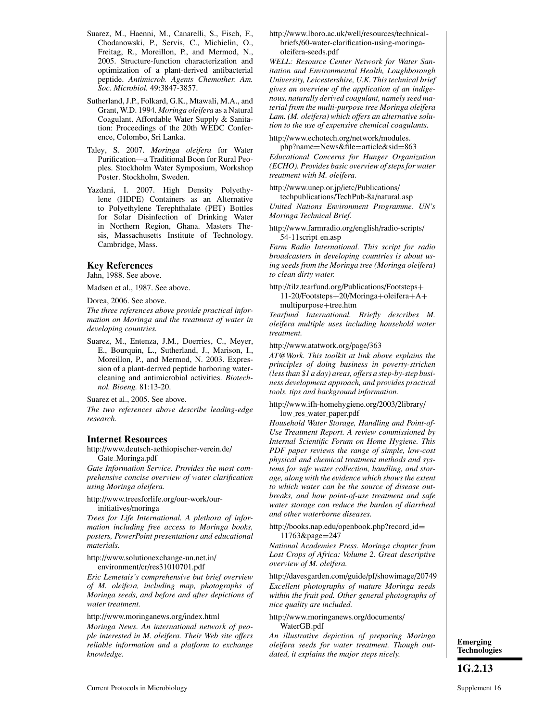- Suarez, M., Haenni, M., Canarelli, S., Fisch, F., Chodanowski, P., Servis, C., Michielin, O., Freitag, R., Moreillon, P., and Mermod, N., 2005. Structure-function characterization and optimization of a plant-derived antibacterial peptide. *Antimicrob. Agents Chemother. Am. Soc. Microbiol.* 49:3847-3857.
- Sutherland, J.P., Folkard, G.K., Mtawali, M.A., and Grant, W.D. 1994. *Moringa oleifera* as a Natural Coagulant. Affordable Water Supply & Sanitation: Proceedings of the 20th WEDC Conference, Colombo, Sri Lanka.
- Taley, S. 2007. *Moringa oleifera* for Water Purification—a Traditional Boon for Rural Peoples. Stockholm Water Symposium, Workshop Poster. Stockholm, Sweden.
- Yazdani, I. 2007. High Density Polyethylene (HDPE) Containers as an Alternative to Polyethylene Terephthalate (PET) Bottles for Solar Disinfection of Drinking Water in Northern Region, Ghana. Masters Thesis, Massachusetts Institute of Technology. Cambridge, Mass.

#### **Key References**

Jahn, 1988. See above.

Madsen et al., 1987. See above.

Dorea, 2006. See above.

*The three references above provide practical information on Moringa and the treatment of water in developing countries.*

Suarez, M., Entenza, J.M., Doerries, C., Meyer, E., Bourquin, L., Sutherland, J., Marison, I., Moreillon, P., and Mermod, N. 2003. Expression of a plant-derived peptide harboring watercleaning and antimicrobial activities. *Biotechnol. Bioeng.* 81:13-20.

Suarez et al., 2005. See above.

*The two references above describe leading-edge research.*

#### **Internet Resources**

http://www.deutsch-aethiopischer-verein.de/ Gate Moringa.pdf

*Gate Information Service. Provides the most comprehensive concise overview of water clarification using Moringa oleifera.*

#### http://www.treesforlife.org/our-work/ourinitiatives/moringa

*Trees for Life International. A plethora of information including free access to Moringa books, posters, PowerPoint presentations and educational materials.*

#### http://www.solutionexchange-un.net.in/ environment/cr/res31010701.pdf

*Eric Lemetais's comprehensive but brief overview of M. oleifera, including map, photographs of Moringa seeds, and before and after depictions of water treatment.*

#### http://www.moringanews.org/index.html

*Moringa News. An international network of people interested in M. oleifera. Their Web site offers reliable information and a platform to exchange knowledge.*

http://www.lboro.ac.uk/well/resources/technicalbriefs/60-water-clarification-using-moringaoleifera-seeds.pdf

*WELL: Resource Center Network for Water Sanitation and Environmental Health, Loughborough University, Leicestershire, U.K. This technical brief gives an overview of the application of an indigenous, naturally derived coagulant, namely seed material from the multi-purpose tree Moringa oleifera Lam. (M. oleifera) which offers an alternative solution to the use of expensive chemical coagulants.*

http://www.echotech.org/network/modules.

php?name=News&file=article&sid=863 *Educational Concerns for Hunger Organization (ECHO). Provides basic overview of steps for water treatment with M. oleifera.*

http://www.unep.or.jp/ietc/Publications/

techpublications/TechPub-8a/natural.asp *United Nations Environment Programme. UN's Moringa Technical Brief.*

http://www.farmradio.org/english/radio-scripts/ 54-11script\_en.asp

*Farm Radio International. This script for radio broadcasters in developing countries is about using seeds from the Moringa tree (Moringa oleifera) to clean dirty water.*

http://tilz.tearfund.org/Publications/Footsteps+ 11-20/Footsteps+20/Moringa+oleifera+A+

multipurpose+tree.htm

*Tearfund International. Briefly describes M. oleifera multiple uses including household water treatment.*

http://www.atatwork.org/page/363

*AT@Work. This toolkit at link above explains the principles of doing business in poverty-stricken (less than \$1 a day) areas, offers a step-by-step business development approach, and provides practical tools, tips and background information.*

http://www.ifh-homehygiene.org/2003/2library/ low res water paper.pdf

*Household Water Storage, Handling and Point-of-Use Treatment Report. A review commissioned by Internal Scientific Forum on Home Hygiene. This PDF paper reviews the range of simple, low-cost physical and chemical treatment methods and systems for safe water collection, handling, and storage, along with the evidence which shows the extent to which water can be the source of disease outbreaks, and how point-of-use treatment and safe water storage can reduce the burden of diarrheal and other waterborne diseases.*

http://books.nap.edu/openbook.php?record\_id= 11763&page=247

*National Academies Press. Moringa chapter from Lost Crops of Africa: Volume 2. Great descriptive overview of M. oleifera.*

http://davesgarden.com/guide/pf/showimage/20749 *Excellent photographs of mature Moringa seeds within the fruit pod. Other general photographs of nice quality are included.*

http://www.moringanews.org/documents/ WaterGB.pdf

*An illustrative depiction of preparing Moringa oleifera seeds for water treatment. Though outdated, it explains the major steps nicely.*